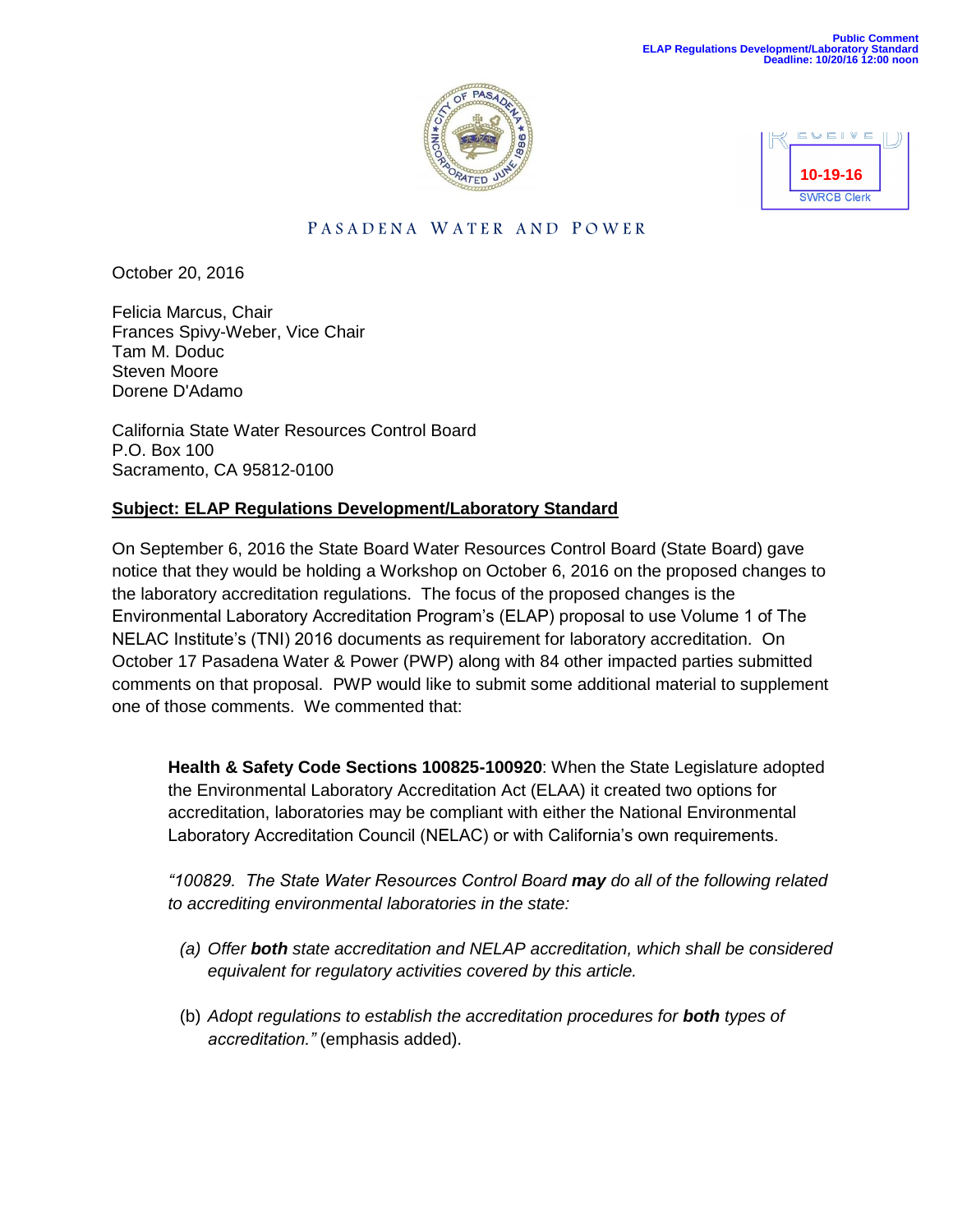



# PASADENA WATER AND POWER

October 20, 2016

Felicia Marcus, Chair Frances Spivy-Weber, Vice Chair Tam M. Doduc Steven Moore Dorene D'Adamo

California State Water Resources Control Board P.O. Box 100 Sacramento, CA 95812-0100

## **Subject: ELAP Regulations Development/Laboratory Standard**

On September 6, 2016 the State Board Water Resources Control Board (State Board) gave notice that they would be holding a Workshop on October 6, 2016 on the proposed changes to the laboratory accreditation regulations. The focus of the proposed changes is the Environmental Laboratory Accreditation Program's (ELAP) proposal to use Volume 1 of The NELAC Institute's (TNI) 2016 documents as requirement for laboratory accreditation. On October 17 Pasadena Water & Power (PWP) along with 84 other impacted parties submitted comments on that proposal. PWP would like to submit some additional material to supplement one of those comments. We commented that:

**Health & Safety Code Sections 100825-100920**: When the State Legislature adopted the Environmental Laboratory Accreditation Act (ELAA) it created two options for accreditation, laboratories may be compliant with either the National Environmental Laboratory Accreditation Council (NELAC) or with California's own requirements.

*"100829. The State Water Resources Control Board may do all of the following related to accrediting environmental laboratories in the state:*

- *(a) Offer both state accreditation and NELAP accreditation, which shall be considered equivalent for regulatory activities covered by this article.*
- (b) *Adopt regulations to establish the accreditation procedures for both types of accreditation."* (emphasis added).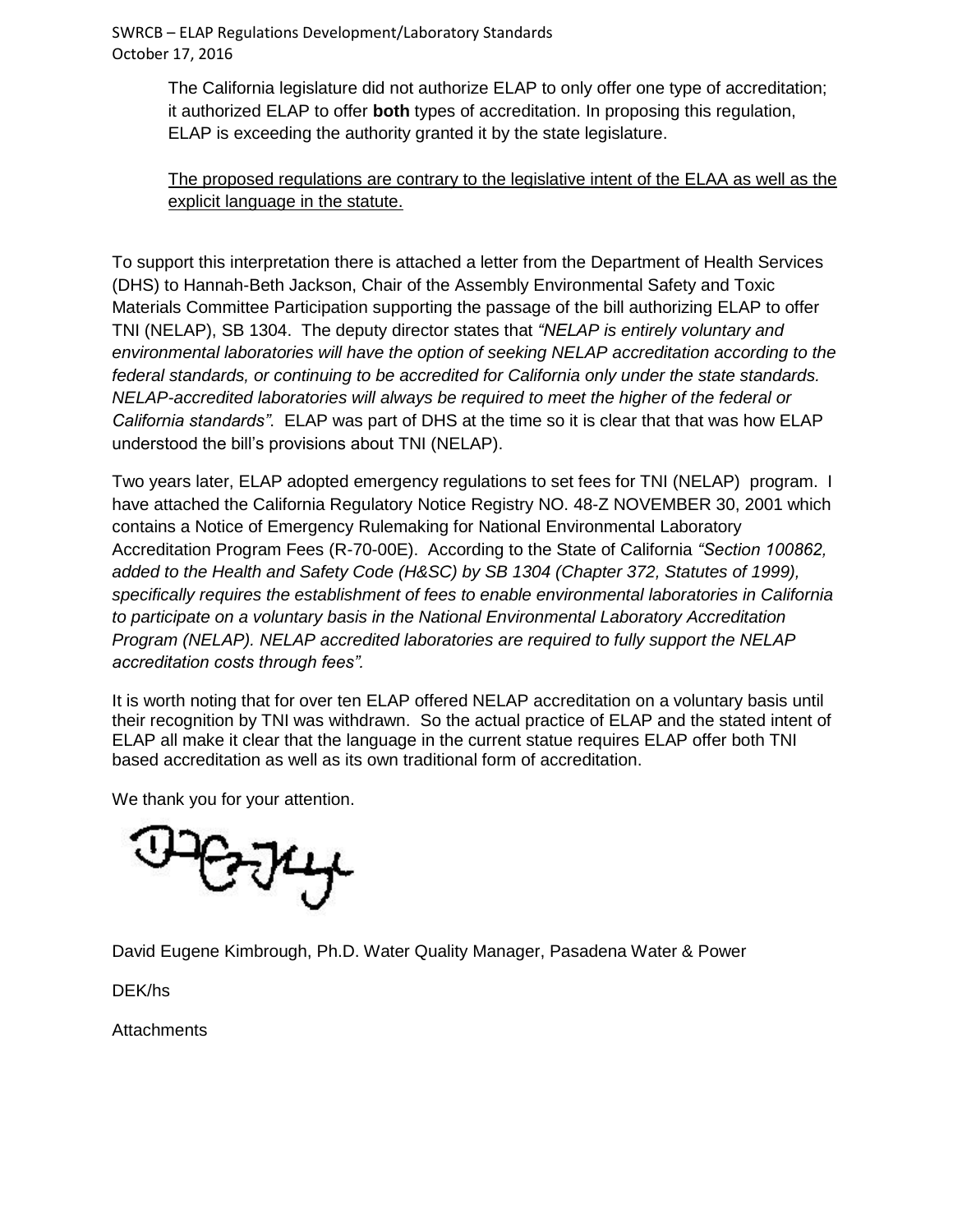SWRCB – ELAP Regulations Development/Laboratory Standards October 17, 2016

> The California legislature did not authorize ELAP to only offer one type of accreditation; it authorized ELAP to offer **both** types of accreditation. In proposing this regulation, ELAP is exceeding the authority granted it by the state legislature.

# The proposed regulations are contrary to the legislative intent of the ELAA as well as the explicit language in the statute.

To support this interpretation there is attached a letter from the Department of Health Services (DHS) to Hannah-Beth Jackson, Chair of the Assembly Environmental Safety and Toxic Materials Committee Participation supporting the passage of the bill authorizing ELAP to offer TNI (NELAP), SB 1304. The deputy director states that *"NELAP is entirely voluntary and environmental laboratories will have the option of seeking NELAP accreditation according to the federal standards, or continuing to be accredited for California only under the state standards. NELAP-accredited laboratories will always be required to meet the higher of the federal or California standards"*. ELAP was part of DHS at the time so it is clear that that was how ELAP understood the bill's provisions about TNI (NELAP).

Two years later, ELAP adopted emergency regulations to set fees for TNI (NELAP) program. I have attached the California Regulatory Notice Registry NO. 48-Z NOVEMBER 30, 2001 which contains a Notice of Emergency Rulemaking for National Environmental Laboratory Accreditation Program Fees (R-70-00E). According to the State of California *"Section 100862, added to the Health and Safety Code (H&SC) by SB 1304 (Chapter 372, Statutes of 1999), specifically requires the establishment of fees to enable environmental laboratories in California to participate on a voluntary basis in the National Environmental Laboratory Accreditation Program (NELAP). NELAP accredited laboratories are required to fully support the NELAP accreditation costs through fees".*

It is worth noting that for over ten ELAP offered NELAP accreditation on a voluntary basis until their recognition by TNI was withdrawn. So the actual practice of ELAP and the stated intent of ELAP all make it clear that the language in the current statue requires ELAP offer both TNI based accreditation as well as its own traditional form of accreditation.

We thank you for your attention.



David Eugene Kimbrough, Ph.D. Water Quality Manager, Pasadena Water & Power

DEK/hs

**Attachments**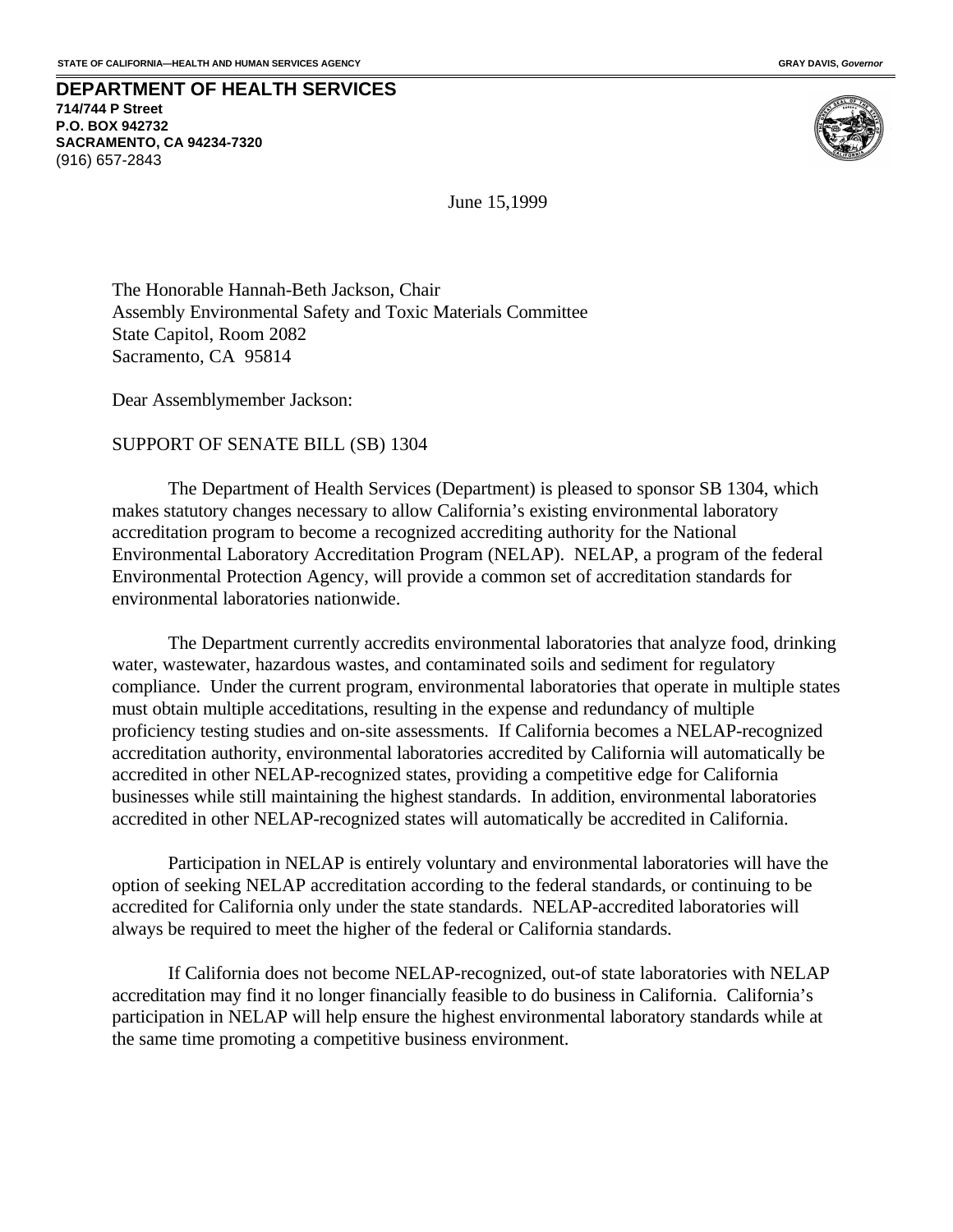#### **DEPARTMENT OF HEALTH SERVICES 714/744 P Street P.O. BOX 942732 SACRAMENTO, CA 94234-7320** (916) 657-2843



June 15,1999

The Honorable Hannah-Beth Jackson, Chair Assembly Environmental Safety and Toxic Materials Committee State Capitol, Room 2082 Sacramento, CA 95814

Dear Assemblymember Jackson:

SUPPORT OF SENATE BILL (SB) 1304

The Department of Health Services (Department) is pleased to sponsor SB 1304, which makes statutory changes necessary to allow California's existing environmental laboratory accreditation program to become a recognized accrediting authority for the National Environmental Laboratory Accreditation Program (NELAP). NELAP, a program of the federal Environmental Protection Agency, will provide a common set of accreditation standards for environmental laboratories nationwide.

The Department currently accredits environmental laboratories that analyze food, drinking water, wastewater, hazardous wastes, and contaminated soils and sediment for regulatory compliance. Under the current program, environmental laboratories that operate in multiple states must obtain multiple acceditations, resulting in the expense and redundancy of multiple proficiency testing studies and on-site assessments. If California becomes a NELAP-recognized accreditation authority, environmental laboratories accredited by California will automatically be accredited in other NELAP-recognized states, providing a competitive edge for California businesses while still maintaining the highest standards. In addition, environmental laboratories accredited in other NELAP-recognized states will automatically be accredited in California.

Participation in NELAP is entirely voluntary and environmental laboratories will have the option of seeking NELAP accreditation according to the federal standards, or continuing to be accredited for California only under the state standards. NELAP-accredited laboratories will always be required to meet the higher of the federal or California standards.

If California does not become NELAP-recognized, out-of state laboratories with NELAP accreditation may find it no longer financially feasible to do business in California. California's participation in NELAP will help ensure the highest environmental laboratory standards while at the same time promoting a competitive business environment.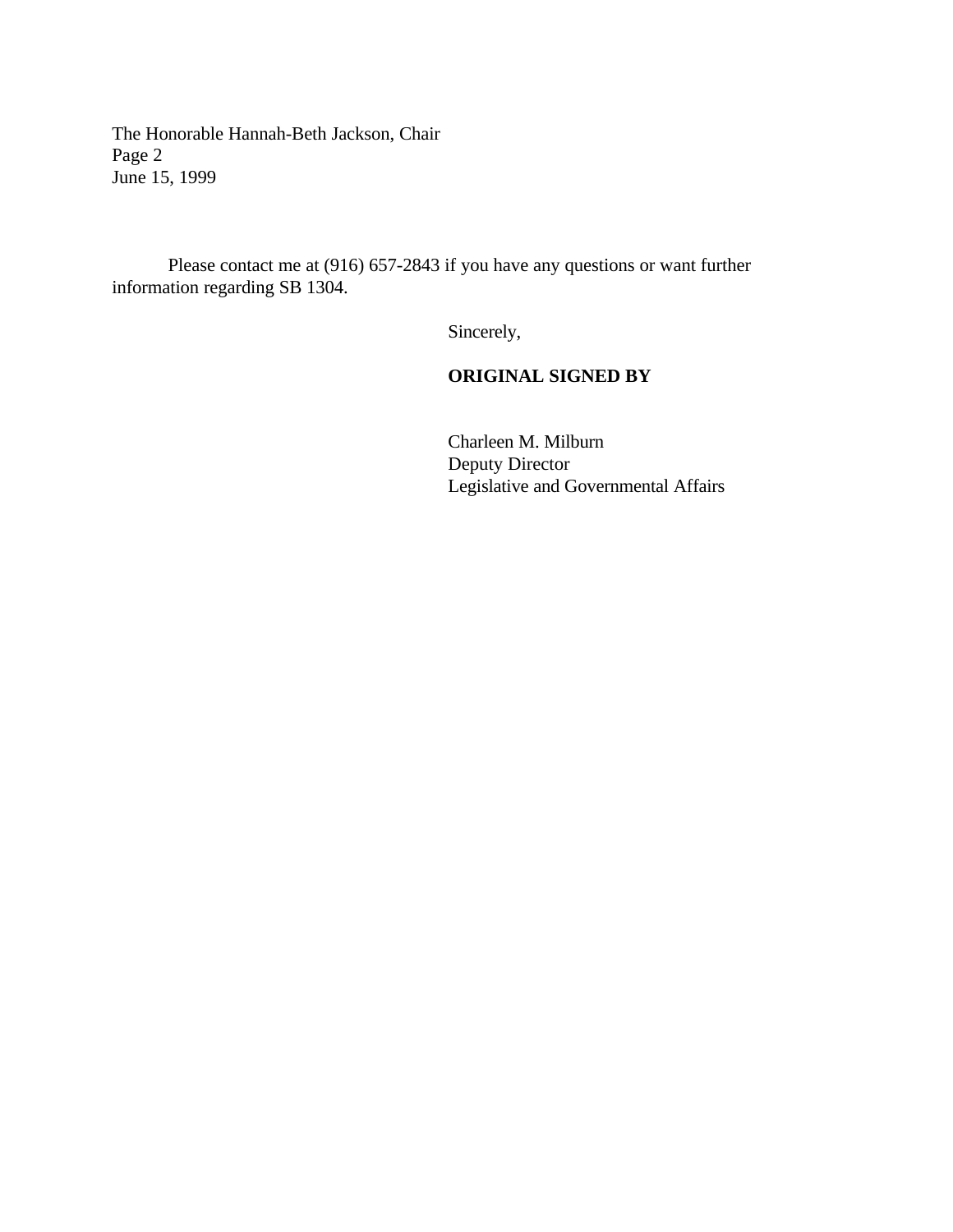The Honorable Hannah-Beth Jackson, Chair Page 2 June 15, 1999

Please contact me at (916) 657-2843 if you have any questions or want further information regarding SB 1304.

Sincerely,

# **ORIGINAL SIGNED BY**

Charleen M. Milburn Deputy Director Legislative and Governmental Affairs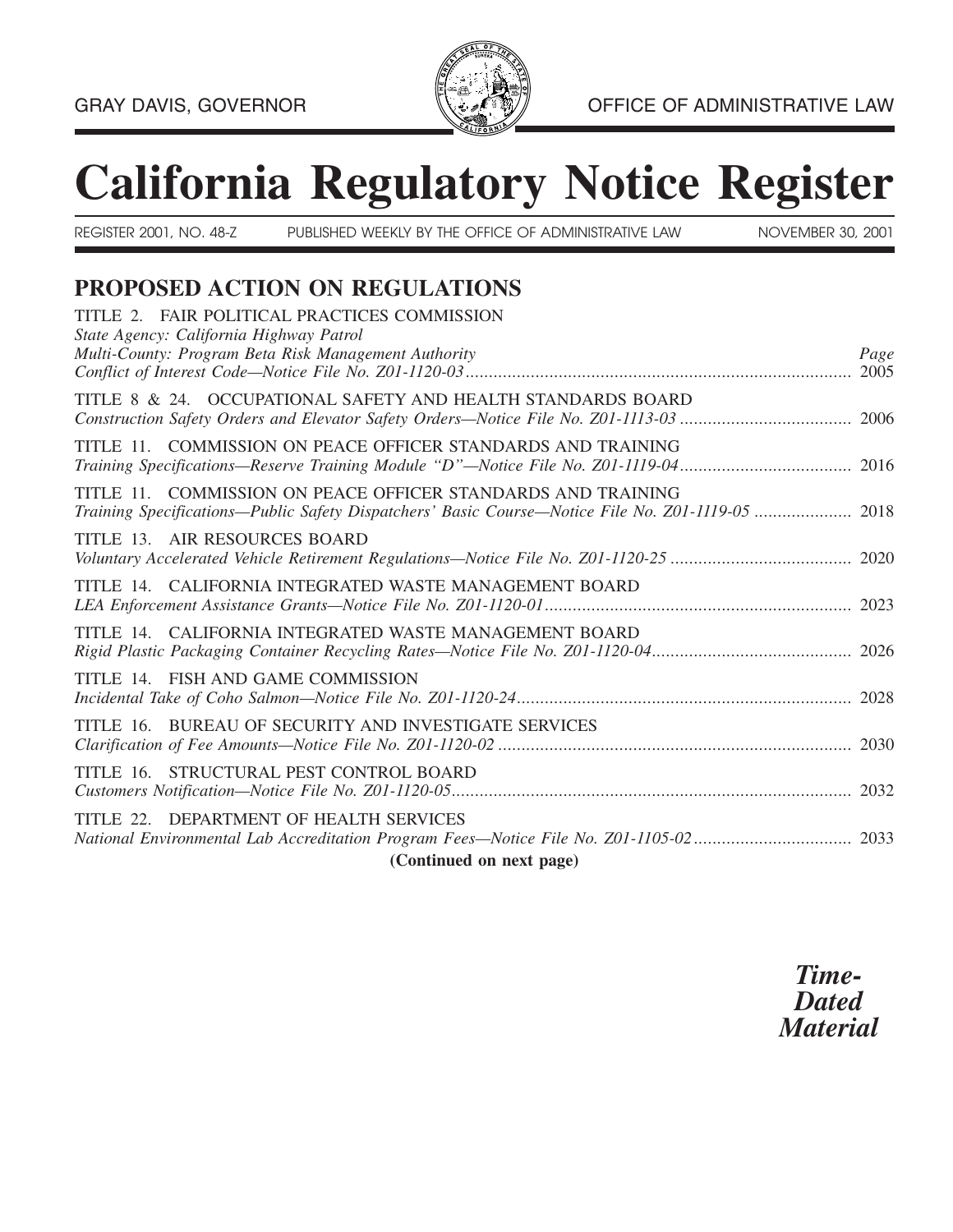

# **California Regulatory Notice Register**

REGISTER 2001, NO. 48-Z PUBLISHED WEEKLY BY THE OFFICE OF ADMINISTRATIVE LAW NOVEMBER 30, 2001

# **PROPOSED ACTION ON REGULATIONS**

| TITLE 2. FAIR POLITICAL PRACTICES COMMISSION<br>State Agency: California Highway Patrol                                                                           |      |
|-------------------------------------------------------------------------------------------------------------------------------------------------------------------|------|
| Multi-County: Program Beta Risk Management Authority                                                                                                              | Page |
| TITLE 8 & 24. OCCUPATIONAL SAFETY AND HEALTH STANDARDS BOARD                                                                                                      |      |
| TITLE 11. COMMISSION ON PEACE OFFICER STANDARDS AND TRAINING                                                                                                      |      |
| TITLE 11. COMMISSION ON PEACE OFFICER STANDARDS AND TRAINING<br>Training Specifications-Public Safety Dispatchers' Basic Course-Notice File No. Z01-1119-05  2018 |      |
| TITLE 13. AIR RESOURCES BOARD                                                                                                                                     |      |
| TITLE 14. CALIFORNIA INTEGRATED WASTE MANAGEMENT BOARD                                                                                                            |      |
| TITLE 14. CALIFORNIA INTEGRATED WASTE MANAGEMENT BOARD                                                                                                            |      |
| TITLE 14. FISH AND GAME COMMISSION                                                                                                                                |      |
| TITLE 16. BUREAU OF SECURITY AND INVESTIGATE SERVICES                                                                                                             |      |
| TITLE 16. STRUCTURAL PEST CONTROL BOARD                                                                                                                           |      |
| TITLE 22. DEPARTMENT OF HEALTH SERVICES                                                                                                                           |      |
| (Continued on next page)                                                                                                                                          |      |

*Time-Dated Material*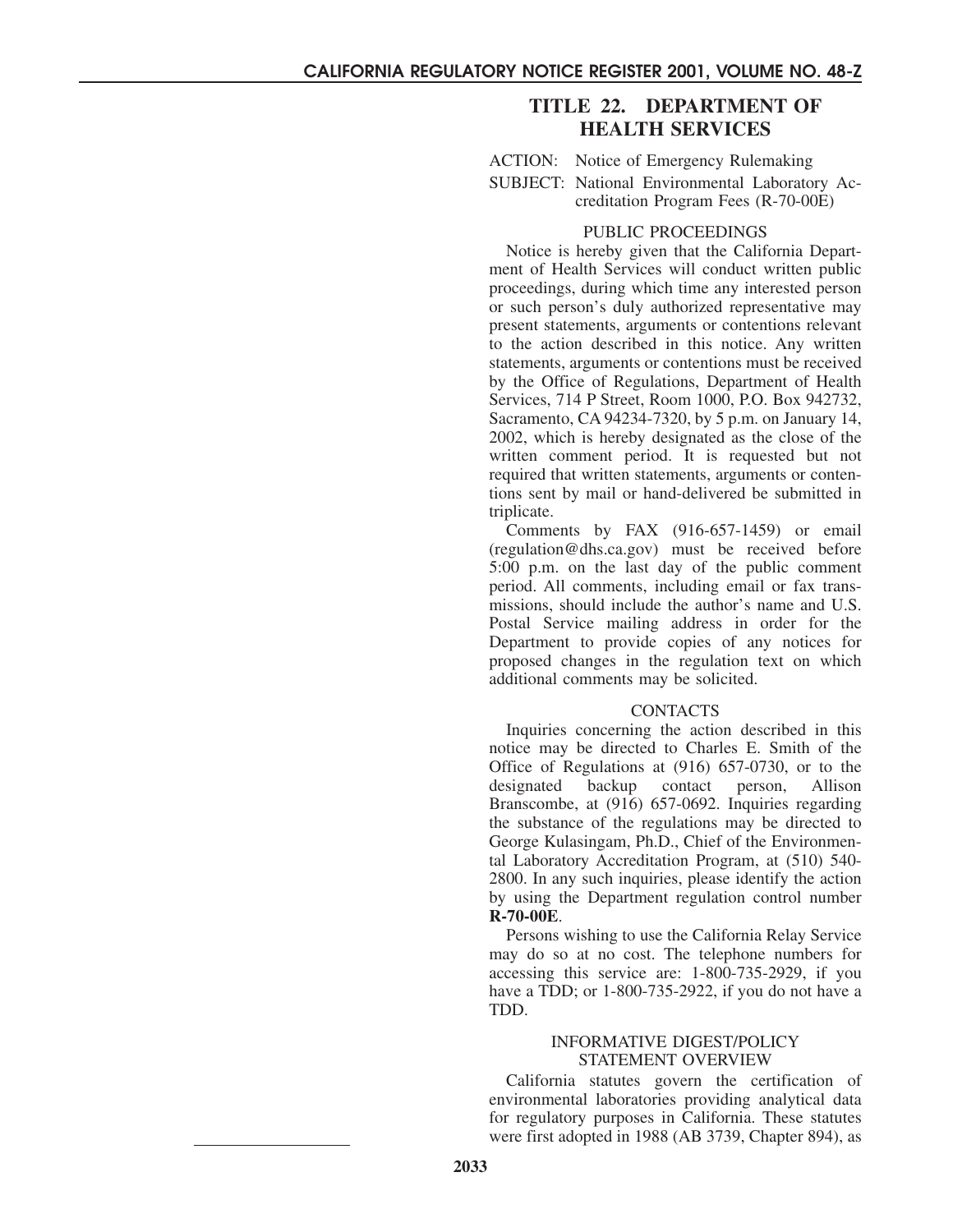# **TITLE 22. DEPARTMENT OF HEALTH SERVICES**

<span id="page-5-0"></span>ACTION: Notice of Emergency Rulemaking

SUBJECT: National Environmental Laboratory Accreditation Program Fees (R-70-00E)

#### PUBLIC PROCEEDINGS

Notice is hereby given that the California Department of Health Services will conduct written public proceedings, during which time any interested person or such person's duly authorized representative may present statements, arguments or contentions relevant to the action described in this notice. Any written statements, arguments or contentions must be received by the Office of Regulations, Department of Health Services, 714 P Street, Room 1000, P.O. Box 942732, Sacramento, CA 94234-7320, by 5 p.m. on January 14, 2002, which is hereby designated as the close of the written comment period. It is requested but not required that written statements, arguments or contentions sent by mail or hand-delivered be submitted in triplicate.

Comments by FAX (916-657-1459) or email (regulation@dhs.ca.gov) must be received before 5:00 p.m. on the last day of the public comment period. All comments, including email or fax transmissions, should include the author's name and U.S. Postal Service mailing address in order for the Department to provide copies of any notices for proposed changes in the regulation text on which additional comments may be solicited.

#### **CONTACTS**

Inquiries concerning the action described in this notice may be directed to Charles E. Smith of the Office of Regulations at (916) 657-0730, or to the designated backup contact person, Allison Branscombe, at (916) 657-0692. Inquiries regarding the substance of the regulations may be directed to George Kulasingam, Ph.D., Chief of the Environmental Laboratory Accreditation Program, at (510) 540- 2800. In any such inquiries, please identify the action by using the Department regulation control number **R-70-00E**.

Persons wishing to use the California Relay Service may do so at no cost. The telephone numbers for accessing this service are: 1-800-735-2929, if you have a TDD; or 1-800-735-2922, if you do not have a TDD.

#### INFORMATIVE DIGEST/POLICY STATEMENT OVERVIEW

California statutes govern the certification of environmental laboratories providing analytical data for regulatory purposes in California. These statutes were first adopted in 1988 (AB 3739, Chapter 894), as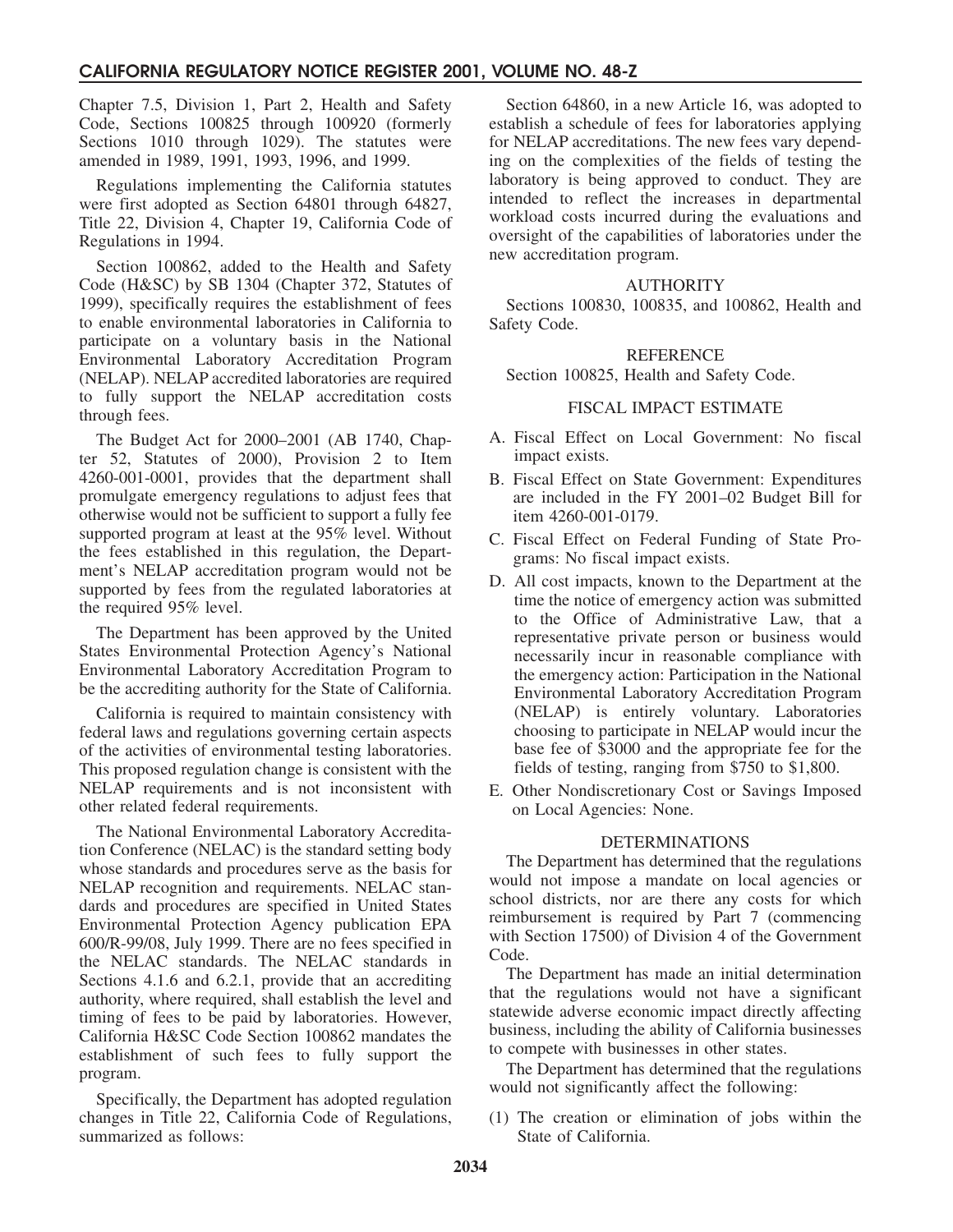## **CALIFORNIA REGULATORY NOTICE REGISTER 2001, VOLUME NO. 48-Z**

Chapter 7.5, Division 1, Part 2, Health and Safety Code, Sections 100825 through 100920 (formerly Sections 1010 through 1029). The statutes were amended in 1989, 1991, 1993, 1996, and 1999.

Regulations implementing the California statutes were first adopted as Section 64801 through 64827, Title 22, Division 4, Chapter 19, California Code of Regulations in 1994.

Section 100862, added to the Health and Safety Code (H&SC) by SB 1304 (Chapter 372, Statutes of 1999), specifically requires the establishment of fees to enable environmental laboratories in California to participate on a voluntary basis in the National Environmental Laboratory Accreditation Program (NELAP). NELAP accredited laboratories are required to fully support the NELAP accreditation costs through fees.

The Budget Act for 2000–2001 (AB 1740, Chapter 52, Statutes of 2000), Provision 2 to Item 4260-001-0001, provides that the department shall promulgate emergency regulations to adjust fees that otherwise would not be sufficient to support a fully fee supported program at least at the 95% level. Without the fees established in this regulation, the Department's NELAP accreditation program would not be supported by fees from the regulated laboratories at the required 95% level.

The Department has been approved by the United States Environmental Protection Agency's National Environmental Laboratory Accreditation Program to be the accrediting authority for the State of California.

California is required to maintain consistency with federal laws and regulations governing certain aspects of the activities of environmental testing laboratories. This proposed regulation change is consistent with the NELAP requirements and is not inconsistent with other related federal requirements.

The National Environmental Laboratory Accreditation Conference (NELAC) is the standard setting body whose standards and procedures serve as the basis for NELAP recognition and requirements. NELAC standards and procedures are specified in United States Environmental Protection Agency publication EPA 600/R-99/08, July 1999. There are no fees specified in the NELAC standards. The NELAC standards in Sections 4.1.6 and 6.2.1, provide that an accrediting authority, where required, shall establish the level and timing of fees to be paid by laboratories. However, California H&SC Code Section 100862 mandates the establishment of such fees to fully support the program.

Specifically, the Department has adopted regulation changes in Title 22, California Code of Regulations, summarized as follows:

Section 64860, in a new Article 16, was adopted to establish a schedule of fees for laboratories applying for NELAP accreditations. The new fees vary depending on the complexities of the fields of testing the laboratory is being approved to conduct. They are intended to reflect the increases in departmental workload costs incurred during the evaluations and oversight of the capabilities of laboratories under the new accreditation program.

#### AUTHORITY

Sections 100830, 100835, and 100862, Health and Safety Code.

#### REFERENCE

Section 100825, Health and Safety Code.

#### FISCAL IMPACT ESTIMATE

- A. Fiscal Effect on Local Government: No fiscal impact exists.
- B. Fiscal Effect on State Government: Expenditures are included in the FY 2001–02 Budget Bill for item 4260-001-0179.
- C. Fiscal Effect on Federal Funding of State Programs: No fiscal impact exists.
- D. All cost impacts, known to the Department at the time the notice of emergency action was submitted to the Office of Administrative Law, that a representative private person or business would necessarily incur in reasonable compliance with the emergency action: Participation in the National Environmental Laboratory Accreditation Program (NELAP) is entirely voluntary. Laboratories choosing to participate in NELAP would incur the base fee of \$3000 and the appropriate fee for the fields of testing, ranging from \$750 to \$1,800.
- E. Other Nondiscretionary Cost or Savings Imposed on Local Agencies: None.

#### DETERMINATIONS

The Department has determined that the regulations would not impose a mandate on local agencies or school districts, nor are there any costs for which reimbursement is required by Part 7 (commencing with Section 17500) of Division 4 of the Government Code.

The Department has made an initial determination that the regulations would not have a significant statewide adverse economic impact directly affecting business, including the ability of California businesses to compete with businesses in other states.

The Department has determined that the regulations would not significantly affect the following:

(1) The creation or elimination of jobs within the State of California.